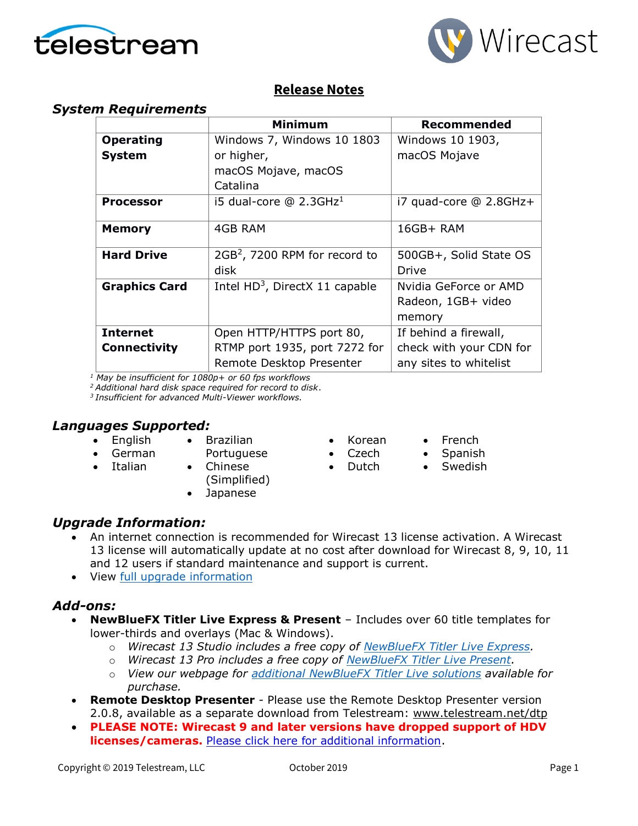



### **Release Notes**

#### *System Requirements*

|                      | <b>Minimum</b>                             | <b>Recommended</b>      |
|----------------------|--------------------------------------------|-------------------------|
| <b>Operating</b>     | Windows 7, Windows 10 1803                 | Windows 10 1903,        |
| <b>System</b>        | or higher,                                 | macOS Mojave            |
|                      | macOS Mojave, macOS                        |                         |
|                      | Catalina                                   |                         |
| <b>Processor</b>     | i5 dual-core $@$ 2.3GHz <sup>1</sup>       | i7 quad-core @ 2.8GHz+  |
| <b>Memory</b>        | 4GB RAM                                    | 16GB+ RAM               |
| <b>Hard Drive</b>    | 2GB <sup>2</sup> , 7200 RPM for record to  | 500GB+, Solid State OS  |
|                      | disk                                       | Drive                   |
| <b>Graphics Card</b> | Intel HD <sup>3</sup> , DirectX 11 capable | Nvidia GeForce or AMD   |
|                      |                                            | Radeon, 1GB+ video      |
|                      |                                            | memory                  |
| <b>Internet</b>      | Open HTTP/HTTPS port 80,                   | If behind a firewall,   |
| <b>Connectivity</b>  | RTMP port 1935, port 7272 for              | check with your CDN for |
|                      | Remote Desktop Presenter                   | any sites to whitelist  |

*<sup>1</sup> May be insufficient for 1080p+ or 60 fps workflows*

*<sup>2</sup>Additional hard disk space required for record to disk*.

*<sup>3</sup>Insufficient for advanced Multi-Viewer workflows.*

#### *Languages Supported:*

- English
- Brazilian
- German
- Portuguese
- Italian
- Chinese (Simplified)
- Japanese
- Korean • Czech

• Dutch

- French
- Spanish
- **Swedish**

- *Upgrade Information:*
	- An internet connection is recommended for Wirecast 13 license activation. A Wirecast 13 license will automatically update at no cost after download for Wirecast 8, 9, 10, 11 and 12 users if standard maintenance and support is current.
	- View [full upgrade information](http://www.telestream.net/wirecast/upgrade.htm#upgrade)

#### *Add-ons:*

- **NewBlueFX Titler Live Express & Present** Includes over 60 title templates for lower-thirds and overlays (Mac & Windows).
	- o *Wirecast 13 Studio includes a free copy of [NewBlueFX Titler Live Express.](http://www.telestream.net/wirecast/newblue.htm)*
	- o *Wirecast 13 Pro includes a free copy of [NewBlueFX Titler Live Present.](http://www.telestream.net/wirecast/newblue.htm)*
	- o *View our webpage for [additional NewBlueFX Titler Live solutions](http://www.telestream.net/wirecast/newblue.htm) available for purchase.*
- **Remote Desktop Presenter**  Please use the Remote Desktop Presenter version 2.0.8, available as a separate download from Telestream: [www.telestream.net/dtp](http://www.telestream.net/dtp)
- **PLEASE NOTE: Wirecast 9 and later versions have dropped support of HDV licenses/cameras.** [Please click here for additional information](http://www.telestream.net/telestream-support/wire-cast/faq.htm?kbURL=http://telestream.force.com/kb/articles/Knowledge_Article/Wirecast-HDV-Firewire-No-longer-Supported/).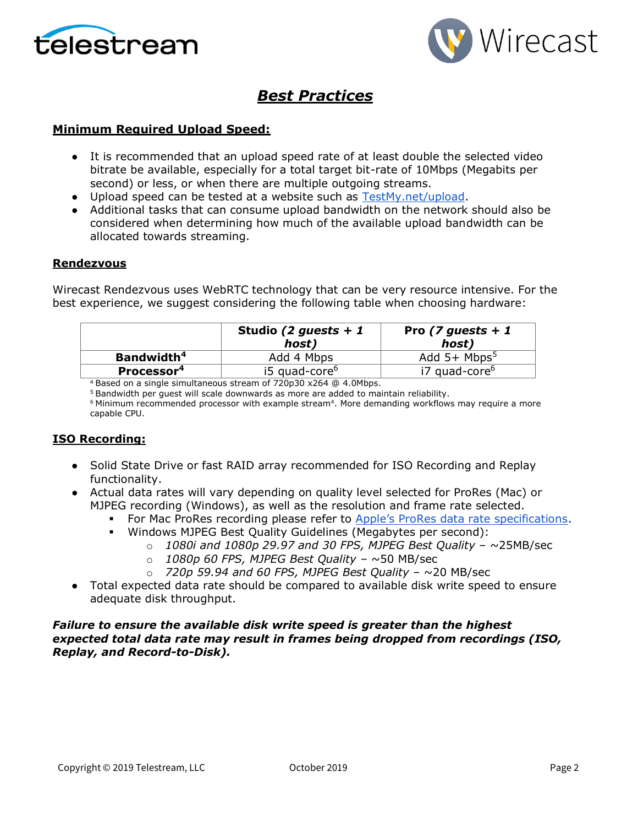



## *Best Practices*

#### **Minimum Required Upload Speed:**

- It is recommended that an upload speed rate of at least double the selected video bitrate be available, especially for a total target bit-rate of 10Mbps (Megabits per second) or less, or when there are multiple outgoing streams.
- Upload speed can be tested at a website such as [TestMy.net/upload.](http://testmy.net/upload)
- Additional tasks that can consume upload bandwidth on the network should also be considered when determining how much of the available upload bandwidth can be allocated towards streaming.

#### **Rendezvous**

Wirecast Rendezvous uses WebRTC technology that can be very resource intensive. For the best experience, we suggest considering the following table when choosing hardware:

|                        | Studio (2 guests + 1<br>host) | Pro (7 guests + 1)<br>host) |
|------------------------|-------------------------------|-----------------------------|
| Bandwidth <sup>4</sup> | Add 4 Mbps                    | Add $5+$ Mbps <sup>5</sup>  |
| Processor <sup>4</sup> | i5 quad-core <sup>6</sup>     | i7 quad-core <sup>6</sup>   |

<sup>4</sup> Based on a single simultaneous stream of 720p30 x264 @ 4.0Mbps.

<sup>5</sup> Bandwidth per guest will scale downwards as more are added to maintain reliability.

 $6$  Minimum recommended processor with example stream $4$ . More demanding workflows may require a more capable CPU.

#### **ISO Recording:**

- Solid State Drive or fast RAID array recommended for ISO Recording and Replay functionality.
- Actual data rates will vary depending on quality level selected for ProRes (Mac) or MJPEG recording (Windows), as well as the resolution and frame rate selected.
	- **For Mac ProRes recording please refer to [Apple's ProRes data rate specifications](https://en.wikipedia.org/wiki/Apple_ProRes#ProRes-Overview).**
	- Windows MJPEG Best Quality Guidelines (Megabytes per second):
		- o *1080i and 1080p 29.97 and 30 FPS, MJPEG Best Quality* ~25MB/sec
			- o *1080p 60 FPS, MJPEG Best Quality* ~50 MB/sec
			- o *720p 59.94 and 60 FPS, MJPEG Best Quality* ~20 MB/sec
- Total expected data rate should be compared to available disk write speed to ensure adequate disk throughput.

#### *Failure to ensure the available disk write speed is greater than the highest expected total data rate may result in frames being dropped from recordings (ISO, Replay, and Record-to-Disk).*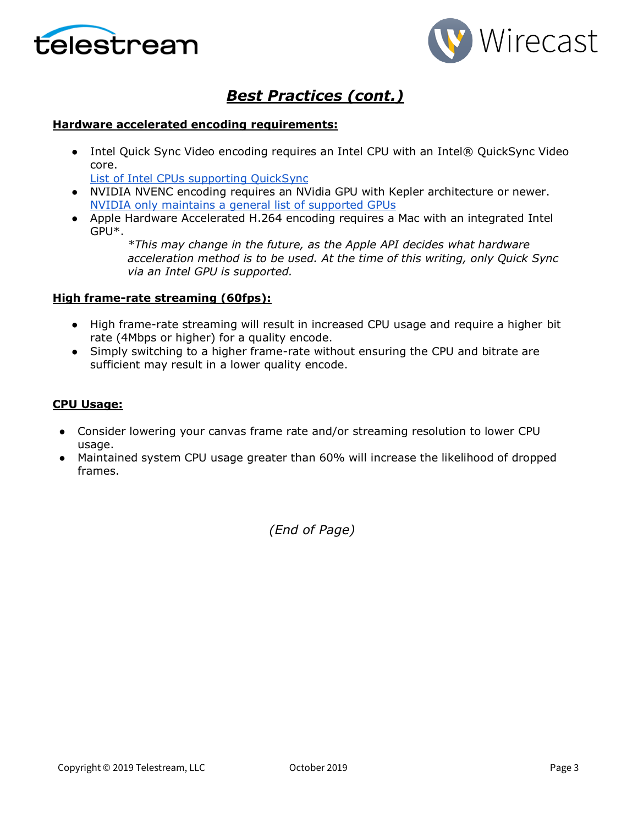



## *Best Practices (cont.)*

#### **Hardware accelerated encoding requirements:**

● Intel Quick Sync Video encoding requires an Intel CPU with an Intel® QuickSync Video core[.](http://ark.intel.com/search/advanced?QuickSyncVideo=true&MarketSegment=DT)

[List of Intel CPUs supporting QuickSync](https://ark.intel.com/content/www/us/en/ark/search/featurefilter.html?productType=873&0_QuickSyncVideo=True)

- NVIDIA NVENC encoding requires an NVidia GPU with Kepler architecture or newer[.](https://developer.nvidia.com/nvidia-video-codec-sdk) [NVIDIA only maintains a general list of supported GPUs](https://developer.nvidia.com/nvidia-video-codec-sdk)
- Apple Hardware Accelerated H.264 encoding requires a Mac with an integrated Intel GPU\*.

*\*This may change in the future, as the Apple API decides what hardware acceleration method is to be used. At the time of this writing, only Quick Sync via an Intel GPU is supported.*

#### **High frame-rate streaming (60fps):**

- High frame-rate streaming will result in increased CPU usage and require a higher bit rate (4Mbps or higher) for a quality encode.
- Simply switching to a higher frame-rate without ensuring the CPU and bitrate are sufficient may result in a lower quality encode.

#### **CPU Usage:**

- Consider lowering your canvas frame rate and/or streaming resolution to lower CPU usage.
- Maintained system CPU usage greater than 60% will increase the likelihood of dropped frames.

*(End of Page)*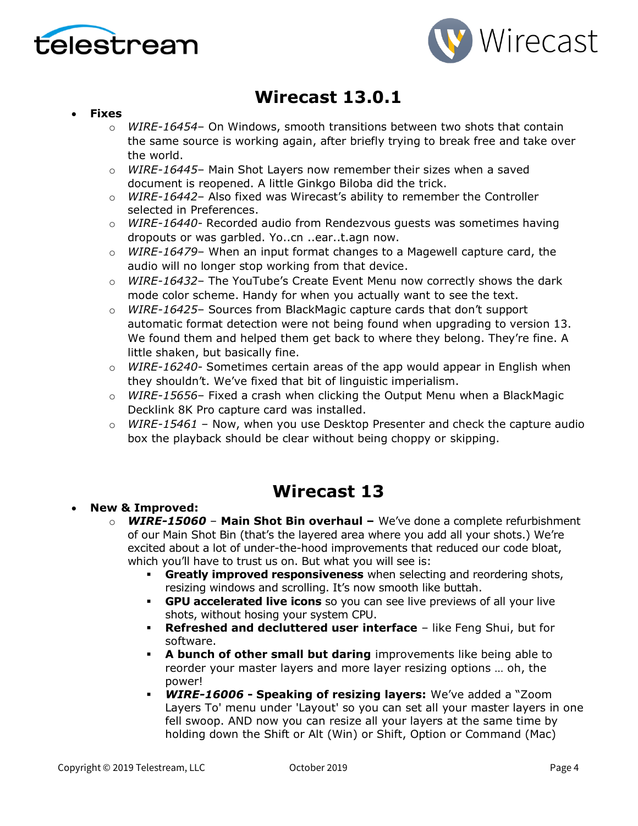



# **Wirecast 13.0.1**

#### • **Fixes**

- o *WIRE-16454* On Windows, smooth transitions between two shots that contain the same source is working again, after briefly trying to break free and take over the world.
- o *WIRE-16445* Main Shot Layers now remember their sizes when a saved document is reopened. A little Ginkgo Biloba did the trick.
- o *WIRE-16442* Also fixed was Wirecast's ability to remember the Controller selected in Preferences.
- o *WIRE-16440* Recorded audio from Rendezvous guests was sometimes having dropouts or was garbled. Yo..cn ..ear..t.agn now.
- o *WIRE-16479* When an input format changes to a Magewell capture card, the audio will no longer stop working from that device.
- o *WIRE-16432* The YouTube's Create Event Menu now correctly shows the dark mode color scheme. Handy for when you actually want to see the text.
- o *WIRE-16425* Sources from BlackMagic capture cards that don't support automatic format detection were not being found when upgrading to version 13. We found them and helped them get back to where they belong. They're fine. A little shaken, but basically fine.
- o *WIRE-16240* Sometimes certain areas of the app would appear in English when they shouldn't. We've fixed that bit of linguistic imperialism.
- o *WIRE-15656* Fixed a crash when clicking the Output Menu when a BlackMagic Decklink 8K Pro capture card was installed.
- o *WIRE-15461* Now, when you use Desktop Presenter and check the capture audio box the playback should be clear without being choppy or skipping.

## **Wirecast 13**

#### • **New & Improved:**

- o *WIRE-15060* **Main Shot Bin overhaul –** We've done a complete refurbishment of our Main Shot Bin (that's the layered area where you add all your shots.) We're excited about a lot of under-the-hood improvements that reduced our code bloat, which you'll have to trust us on. But what you will see is:
	- **Greatly improved responsiveness** when selecting and reordering shots, resizing windows and scrolling. It's now smooth like buttah.
	- **GPU accelerated live icons** so you can see live previews of all your live shots, without hosing your system CPU.
	- **Refreshed and decluttered user interface** like Feng Shui, but for software.
	- **A bunch of other small but daring** improvements like being able to reorder your master layers and more layer resizing options … oh, the power!
	- *WIRE-16006* **- Speaking of resizing layers:** We've added a "Zoom Layers To' menu under 'Layout' so you can set all your master layers in one fell swoop. AND now you can resize all your layers at the same time by holding down the Shift or Alt (Win) or Shift, Option or Command (Mac)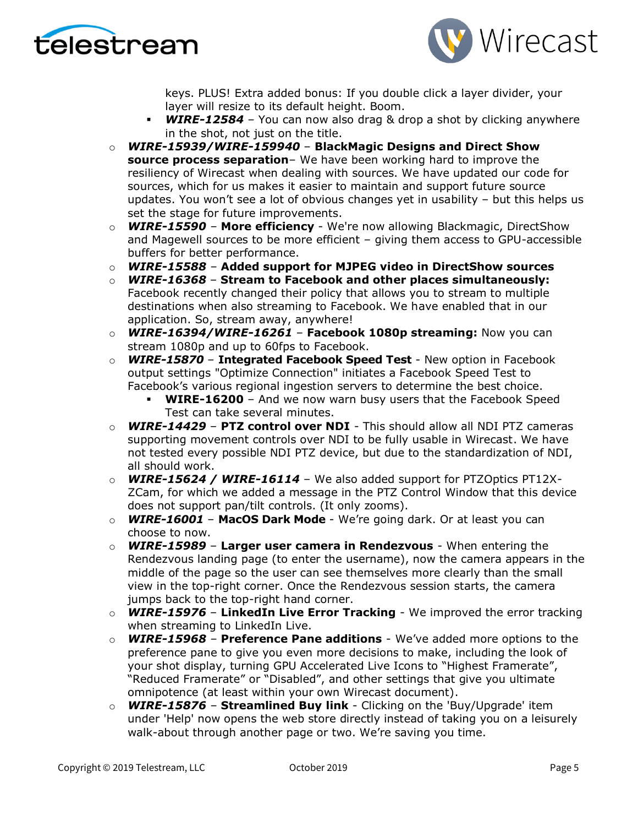



keys. PLUS! Extra added bonus: If you double click a layer divider, your layer will resize to its default height. Boom.

- **WIRE-12584** You can now also drag & drop a shot by clicking anywhere in the shot, not just on the title.
- o *WIRE-15939/WIRE-159940* **BlackMagic Designs and Direct Show source process separation**– We have been working hard to improve the resiliency of Wirecast when dealing with sources. We have updated our code for sources, which for us makes it easier to maintain and support future source updates. You won't see a lot of obvious changes yet in usability – but this helps us set the stage for future improvements.
- o *WIRE-15590* **More efficiency**  We're now allowing Blackmagic, DirectShow and Magewell sources to be more efficient – giving them access to GPU-accessible buffers for better performance.
- o *WIRE-15588* **Added support for MJPEG video in DirectShow sources**
- o *WIRE-16368*  **Stream to Facebook and other places simultaneously:**  Facebook recently changed their policy that allows you to stream to multiple destinations when also streaming to Facebook. We have enabled that in our application. So, stream away, anywhere!
- o *WIRE-16394/WIRE-16261* **Facebook 1080p streaming:** Now you can stream 1080p and up to 60fps to Facebook.
- o *WIRE-15870*  **Integrated Facebook Speed Test** New option in Facebook output settings "Optimize Connection" initiates a Facebook Speed Test to Facebook's various regional ingestion servers to determine the best choice.
	- **WIRE-16200**  And we now warn busy users that the Facebook Speed Test can take several minutes.
- **WIRE-14429 PTZ control over NDI** This should allow all NDI PTZ cameras supporting movement controls over NDI to be fully usable in Wirecast. We have not tested every possible NDI PTZ device, but due to the standardization of NDI, all should work.
- o *WIRE-15624 / WIRE-16114* We also added support for PTZOptics PT12X-ZCam, for which we added a message in the PTZ Control Window that this device does not support pan/tilt controls. (It only zooms).
- o *WIRE-16001*  **MacOS Dark Mode**  We're going dark. Or at least you can choose to now.
- o *WIRE-15989*  **Larger user camera in Rendezvous** When entering the Rendezvous landing page (to enter the username), now the camera appears in the middle of the page so the user can see themselves more clearly than the small view in the top-right corner. Once the Rendezvous session starts, the camera jumps back to the top-right hand corner.
- o *WIRE-15976*  **LinkedIn Live Error Tracking** We improved the error tracking when streaming to LinkedIn Live.
- o *WIRE-15968* **Preference Pane additions** We've added more options to the preference pane to give you even more decisions to make, including the look of your shot display, turning GPU Accelerated Live Icons to "Highest Framerate", "Reduced Framerate" or "Disabled", and other settings that give you ultimate omnipotence (at least within your own Wirecast document).
- o *WIRE-15876* **Streamlined Buy link** Clicking on the 'Buy/Upgrade' item under 'Help' now opens the web store directly instead of taking you on a leisurely walk-about through another page or two. We're saving you time.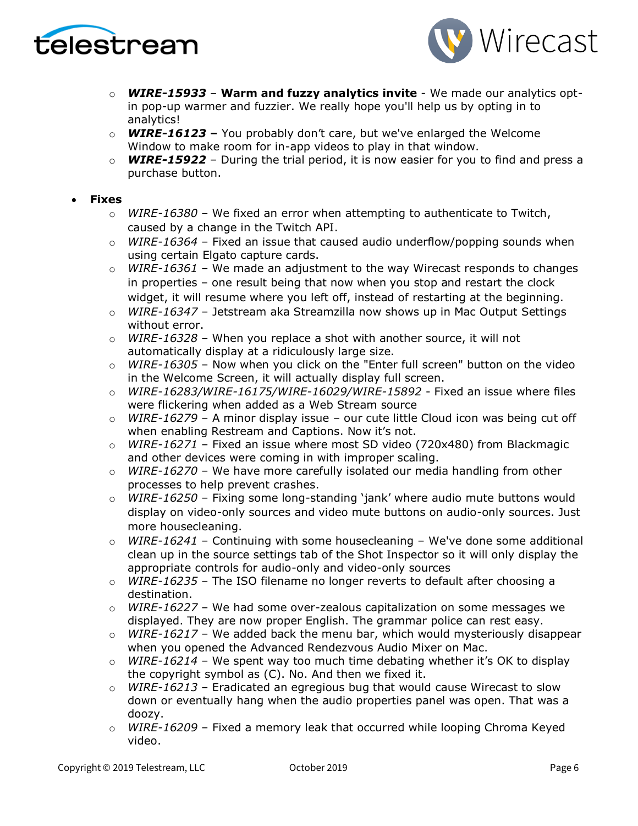



- o *WIRE-15933* **Warm and fuzzy analytics invite** We made our analytics optin pop-up warmer and fuzzier. We really hope you'll help us by opting in to analytics!
- o *WIRE-16123* **–** You probably don't care, but we've enlarged the Welcome Window to make room for in-app videos to play in that window.
- o *WIRE-15922*  During the trial period, it is now easier for you to find and press a purchase button.

#### • **Fixes**

- o *WIRE-16380*  We fixed an error when attempting to authenticate to Twitch, caused by a change in the Twitch API.
- o *WIRE-16364*  Fixed an issue that caused audio underflow/popping sounds when using certain Elgato capture cards.
- o *WIRE-16361* We made an adjustment to the way Wirecast responds to changes in properties – one result being that now when you stop and restart the clock widget, it will resume where you left off, instead of restarting at the beginning.
- o *WIRE-16347* Jetstream aka Streamzilla now shows up in Mac Output Settings without error.
- o *WIRE-16328*  When you replace a shot with another source, it will not automatically display at a ridiculously large size.
- o *WIRE-16305*  Now when you click on the "Enter full screen" button on the video in the Welcome Screen, it will actually display full screen.
- o *WIRE-16283/WIRE-16175/WIRE-16029/WIRE-15892* Fixed an issue where files were flickering when added as a Web Stream source
- o *WIRE-16279*  A minor display issue our cute little Cloud icon was being cut off when enabling Restream and Captions. Now it's not.
- o *WIRE-16271* Fixed an issue where most SD video (720x480) from Blackmagic and other devices were coming in with improper scaling.
- o *WIRE-16270* We have more carefully isolated our media handling from other processes to help prevent crashes.
- o *WIRE-16250* Fixing some long-standing 'jank' where audio mute buttons would display on video-only sources and video mute buttons on audio-only sources. Just more housecleaning.
- WIRE-16241 Continuing with some housecleaning We've done some additional clean up in the source settings tab of the Shot Inspector so it will only display the appropriate controls for audio-only and video-only sources
- o *WIRE-16235* The ISO filename no longer reverts to default after choosing a destination.
- o *WIRE-16227* We had some over-zealous capitalization on some messages we displayed. They are now proper English. The grammar police can rest easy.
- $\circ$  *WIRE-16217* We added back the menu bar, which would mysteriously disappear when you opened the Advanced Rendezvous Audio Mixer on Mac.
- o *WIRE-16214*  We spent way too much time debating whether it's OK to display the copyright symbol as (C). No. And then we fixed it.
- o *WIRE-16213* Eradicated an egregious bug that would cause Wirecast to slow down or eventually hang when the audio properties panel was open. That was a doozy.
- o *WIRE-16209* Fixed a memory leak that occurred while looping Chroma Keyed video.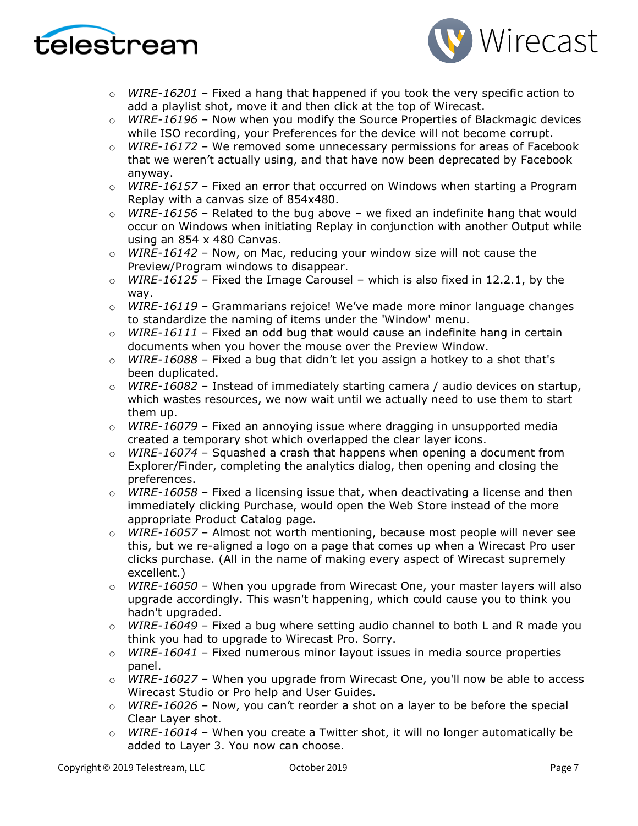



- o *WIRE-16201* Fixed a hang that happened if you took the very specific action to add a playlist shot, move it and then click at the top of Wirecast.
- o *WIRE-16196* Now when you modify the Source Properties of Blackmagic devices while ISO recording, your Preferences for the device will not become corrupt.
- o *WIRE-16172* We removed some unnecessary permissions for areas of Facebook that we weren't actually using, and that have now been deprecated by Facebook anyway.
- o *WIRE-16157* Fixed an error that occurred on Windows when starting a Program Replay with a canvas size of 854x480.
- $\circ$  *WIRE-16156* Related to the bug above we fixed an indefinite hang that would occur on Windows when initiating Replay in conjunction with another Output while using an 854 x 480 Canvas.
- o *WIRE-16142*  Now, on Mac, reducing your window size will not cause the Preview/Program windows to disappear.
- o *WIRE-16125*  Fixed the Image Carousel which is also fixed in 12.2.1, by the way.
- o *WIRE-16119* Grammarians rejoice! We've made more minor language changes to standardize the naming of items under the 'Window' menu.
- o *WIRE-16111*  Fixed an odd bug that would cause an indefinite hang in certain documents when you hover the mouse over the Preview Window.
- $\circ$  *WIRE-16088* Fixed a bug that didn't let you assign a hotkey to a shot that's been duplicated.
- o *WIRE-16082*  Instead of immediately starting camera / audio devices on startup, which wastes resources, we now wait until we actually need to use them to start them up.
- o *WIRE-16079* Fixed an annoying issue where dragging in unsupported media created a temporary shot which overlapped the clear layer icons.
- o *WIRE-16074*  Squashed a crash that happens when opening a document from Explorer/Finder, completing the analytics dialog, then opening and closing the preferences.
- o *WIRE-16058*  Fixed a licensing issue that, when deactivating a license and then immediately clicking Purchase, would open the Web Store instead of the more appropriate Product Catalog page.
- o *WIRE-16057* Almost not worth mentioning, because most people will never see this, but we re-aligned a logo on a page that comes up when a Wirecast Pro user clicks purchase. (All in the name of making every aspect of Wirecast supremely excellent.)
- o *WIRE-16050* When you upgrade from Wirecast One, your master layers will also upgrade accordingly. This wasn't happening, which could cause you to think you hadn't upgraded.
- o *WIRE-16049*  Fixed a bug where setting audio channel to both L and R made you think you had to upgrade to Wirecast Pro. Sorry.
- o *WIRE-16041* Fixed numerous minor layout issues in media source properties panel.
- o *WIRE-16027* When you upgrade from Wirecast One, you'll now be able to access Wirecast Studio or Pro help and User Guides.
- o *WIRE-16026* Now, you can't reorder a shot on a layer to be before the special Clear Layer shot.
- o *WIRE-16014*  When you create a Twitter shot, it will no longer automatically be added to Layer 3. You now can choose.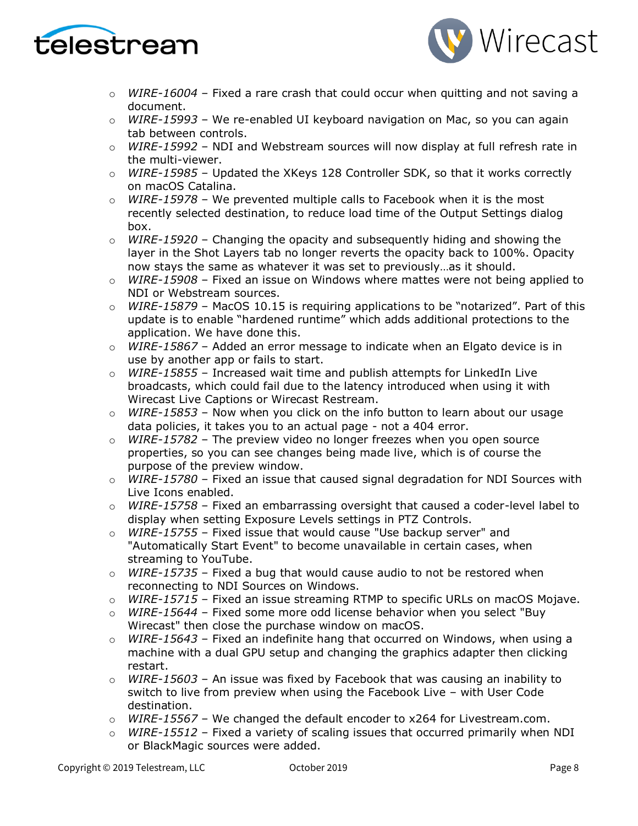



- o *WIRE-16004* Fixed a rare crash that could occur when quitting and not saving a document.
- o *WIRE-15993*  We re-enabled UI keyboard navigation on Mac, so you can again tab between controls.
- o *WIRE-15992* NDI and Webstream sources will now display at full refresh rate in the multi-viewer.
- o *WIRE-15985* Updated the XKeys 128 Controller SDK, so that it works correctly on macOS Catalina.
- o *WIRE-15978* We prevented multiple calls to Facebook when it is the most recently selected destination, to reduce load time of the Output Settings dialog box.
- o *WIRE-15920*  Changing the opacity and subsequently hiding and showing the layer in the Shot Layers tab no longer reverts the opacity back to 100%. Opacity now stays the same as whatever it was set to previously…as it should.
- o *WIRE-15908*  Fixed an issue on Windows where mattes were not being applied to NDI or Webstream sources.
- o *WIRE-15879*  MacOS 10.15 is requiring applications to be "notarized". Part of this update is to enable "hardened runtime" which adds additional protections to the application. We have done this.
- o *WIRE-15867*  Added an error message to indicate when an Elgato device is in use by another app or fails to start.
- o *WIRE-15855* Increased wait time and publish attempts for LinkedIn Live broadcasts, which could fail due to the latency introduced when using it with Wirecast Live Captions or Wirecast Restream.
- o *WIRE-15853* Now when you click on the info button to learn about our usage data policies, it takes you to an actual page - not a 404 error.
- o *WIRE-15782*  The preview video no longer freezes when you open source properties, so you can see changes being made live, which is of course the purpose of the preview window.
- o *WIRE-15780*  Fixed an issue that caused signal degradation for NDI Sources with Live Icons enabled.
- o *WIRE-15758*  Fixed an embarrassing oversight that caused a coder-level label to display when setting Exposure Levels settings in PTZ Controls.
- o *WIRE-15755* Fixed issue that would cause "Use backup server" and "Automatically Start Event" to become unavailable in certain cases, when streaming to YouTube.
- o *WIRE-15735*  Fixed a bug that would cause audio to not be restored when reconnecting to NDI Sources on Windows.
- o *WIRE-15715*  Fixed an issue streaming RTMP to specific URLs on macOS Mojave.
- o *WIRE-15644*  Fixed some more odd license behavior when you select "Buy Wirecast" then close the purchase window on macOS.
- o *WIRE-15643* Fixed an indefinite hang that occurred on Windows, when using a machine with a dual GPU setup and changing the graphics adapter then clicking restart.
- o *WIRE-15603* An issue was fixed by Facebook that was causing an inability to switch to live from preview when using the Facebook Live – with User Code destination.
- o *WIRE-15567* We changed the default encoder to x264 for Livestream.com.
- o *WIRE-15512*  Fixed a variety of scaling issues that occurred primarily when NDI or BlackMagic sources were added.